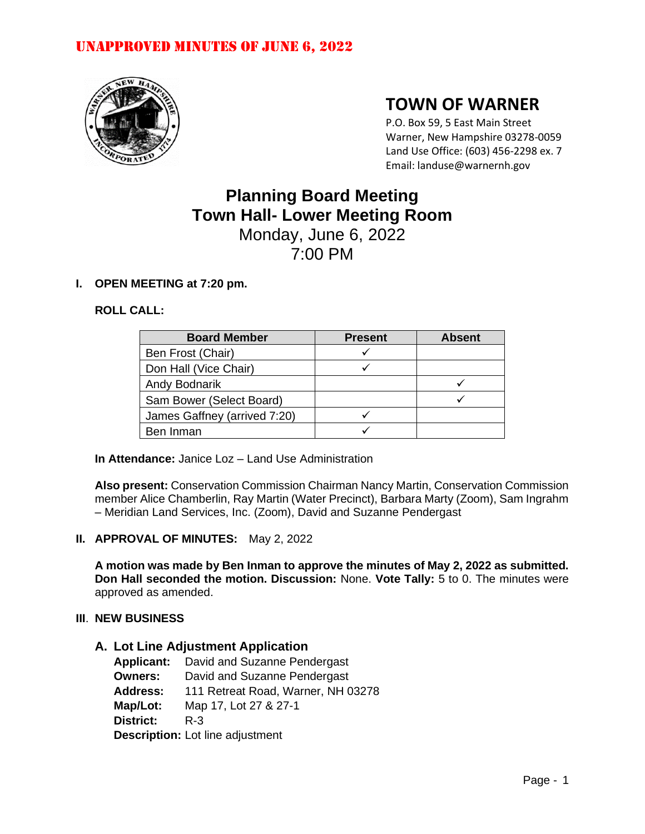

# **TOWN OF WARNER**

P.O. Box 59, 5 East Main Street Warner, New Hampshire 03278-0059 Land Use Office: (603) 456-2298 ex. 7 Email: landuse@warnernh.gov

# **Planning Board Meeting Town Hall- Lower Meeting Room** Monday, June 6, 2022

7:00 PM

# **I. OPEN MEETING at 7:20 pm.**

# **ROLL CALL:**

| <b>Board Member</b>          | <b>Present</b> | <b>Absent</b> |
|------------------------------|----------------|---------------|
| Ben Frost (Chair)            |                |               |
| Don Hall (Vice Chair)        |                |               |
| Andy Bodnarik                |                |               |
| Sam Bower (Select Board)     |                |               |
| James Gaffney (arrived 7:20) |                |               |
| Ben Inman                    |                |               |

**In Attendance:** Janice Loz – Land Use Administration

**Also present:** Conservation Commission Chairman Nancy Martin, Conservation Commission member Alice Chamberlin, Ray Martin (Water Precinct), Barbara Marty (Zoom), Sam Ingrahm – Meridian Land Services, Inc. (Zoom), David and Suzanne Pendergast

## **II. APPROVAL OF MINUTES:** May 2, 2022

**A motion was made by Ben Inman to approve the minutes of May 2, 2022 as submitted. Don Hall seconded the motion. Discussion:** None. **Vote Tally:** 5 to 0. The minutes were approved as amended.

## **III**. **NEW BUSINESS**

## **A. Lot Line Adjustment Application**

| <b>Applicant:</b>                       | David and Suzanne Pendergast       |
|-----------------------------------------|------------------------------------|
| <b>Owners:</b>                          | David and Suzanne Pendergast       |
| <b>Address:</b>                         | 111 Retreat Road, Warner, NH 03278 |
| Map/Lot:                                | Map 17, Lot 27 & 27-1              |
| <b>District:</b>                        | $R - 3$                            |
| <b>Description:</b> Lot line adjustment |                                    |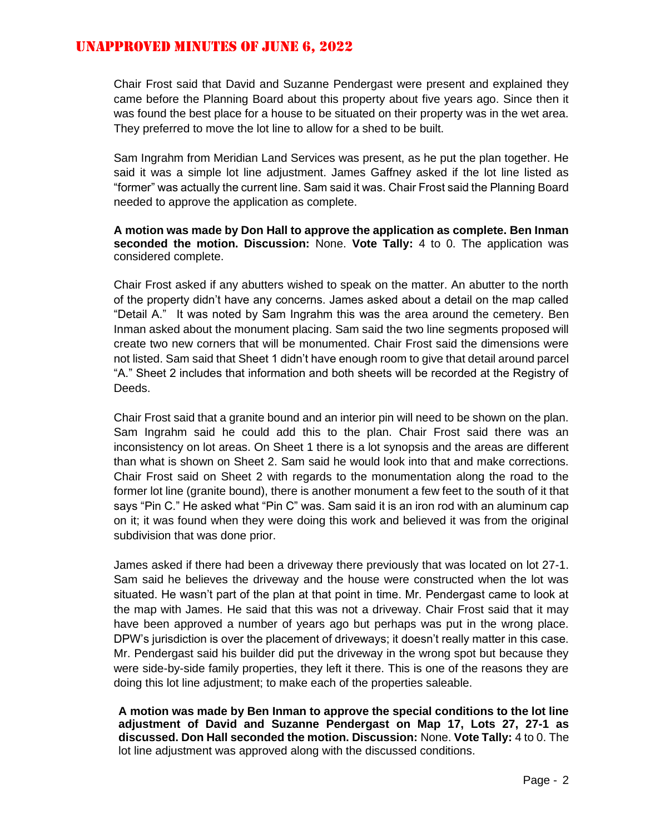Chair Frost said that David and Suzanne Pendergast were present and explained they came before the Planning Board about this property about five years ago. Since then it was found the best place for a house to be situated on their property was in the wet area. They preferred to move the lot line to allow for a shed to be built.

Sam Ingrahm from Meridian Land Services was present, as he put the plan together. He said it was a simple lot line adjustment. James Gaffney asked if the lot line listed as "former" was actually the current line. Sam said it was. Chair Frost said the Planning Board needed to approve the application as complete.

# **A motion was made by Don Hall to approve the application as complete. Ben Inman seconded the motion. Discussion:** None. **Vote Tally:** 4 to 0. The application was considered complete.

Chair Frost asked if any abutters wished to speak on the matter. An abutter to the north of the property didn't have any concerns. James asked about a detail on the map called "Detail A." It was noted by Sam Ingrahm this was the area around the cemetery. Ben Inman asked about the monument placing. Sam said the two line segments proposed will create two new corners that will be monumented. Chair Frost said the dimensions were not listed. Sam said that Sheet 1 didn't have enough room to give that detail around parcel "A." Sheet 2 includes that information and both sheets will be recorded at the Registry of Deeds.

Chair Frost said that a granite bound and an interior pin will need to be shown on the plan. Sam Ingrahm said he could add this to the plan. Chair Frost said there was an inconsistency on lot areas. On Sheet 1 there is a lot synopsis and the areas are different than what is shown on Sheet 2. Sam said he would look into that and make corrections. Chair Frost said on Sheet 2 with regards to the monumentation along the road to the former lot line (granite bound), there is another monument a few feet to the south of it that says "Pin C." He asked what "Pin C" was. Sam said it is an iron rod with an aluminum cap on it; it was found when they were doing this work and believed it was from the original subdivision that was done prior.

James asked if there had been a driveway there previously that was located on lot 27-1. Sam said he believes the driveway and the house were constructed when the lot was situated. He wasn't part of the plan at that point in time. Mr. Pendergast came to look at the map with James. He said that this was not a driveway. Chair Frost said that it may have been approved a number of years ago but perhaps was put in the wrong place. DPW's jurisdiction is over the placement of driveways; it doesn't really matter in this case. Mr. Pendergast said his builder did put the driveway in the wrong spot but because they were side-by-side family properties, they left it there. This is one of the reasons they are doing this lot line adjustment; to make each of the properties saleable.

**A motion was made by Ben Inman to approve the special conditions to the lot line adjustment of David and Suzanne Pendergast on Map 17, Lots 27, 27-1 as discussed. Don Hall seconded the motion. Discussion:** None. **Vote Tally:** 4 to 0. The lot line adjustment was approved along with the discussed conditions.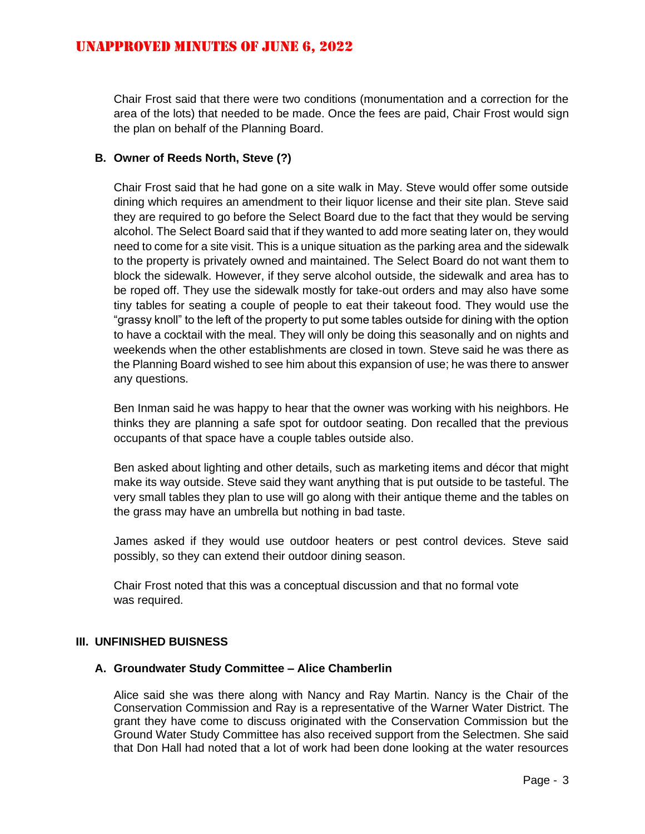Chair Frost said that there were two conditions (monumentation and a correction for the area of the lots) that needed to be made. Once the fees are paid, Chair Frost would sign the plan on behalf of the Planning Board.

# **B. Owner of Reeds North, Steve (?)**

Chair Frost said that he had gone on a site walk in May. Steve would offer some outside dining which requires an amendment to their liquor license and their site plan. Steve said they are required to go before the Select Board due to the fact that they would be serving alcohol. The Select Board said that if they wanted to add more seating later on, they would need to come for a site visit. This is a unique situation as the parking area and the sidewalk to the property is privately owned and maintained. The Select Board do not want them to block the sidewalk. However, if they serve alcohol outside, the sidewalk and area has to be roped off. They use the sidewalk mostly for take-out orders and may also have some tiny tables for seating a couple of people to eat their takeout food. They would use the "grassy knoll" to the left of the property to put some tables outside for dining with the option to have a cocktail with the meal. They will only be doing this seasonally and on nights and weekends when the other establishments are closed in town. Steve said he was there as the Planning Board wished to see him about this expansion of use; he was there to answer any questions.

Ben Inman said he was happy to hear that the owner was working with his neighbors. He thinks they are planning a safe spot for outdoor seating. Don recalled that the previous occupants of that space have a couple tables outside also.

Ben asked about lighting and other details, such as marketing items and décor that might make its way outside. Steve said they want anything that is put outside to be tasteful. The very small tables they plan to use will go along with their antique theme and the tables on the grass may have an umbrella but nothing in bad taste.

James asked if they would use outdoor heaters or pest control devices. Steve said possibly, so they can extend their outdoor dining season.

Chair Frost noted that this was a conceptual discussion and that no formal vote was required.

## **III. UNFINISHED BUISNESS**

## **A. Groundwater Study Committee – Alice Chamberlin**

Alice said she was there along with Nancy and Ray Martin. Nancy is the Chair of the Conservation Commission and Ray is a representative of the Warner Water District. The grant they have come to discuss originated with the Conservation Commission but the Ground Water Study Committee has also received support from the Selectmen. She said that Don Hall had noted that a lot of work had been done looking at the water resources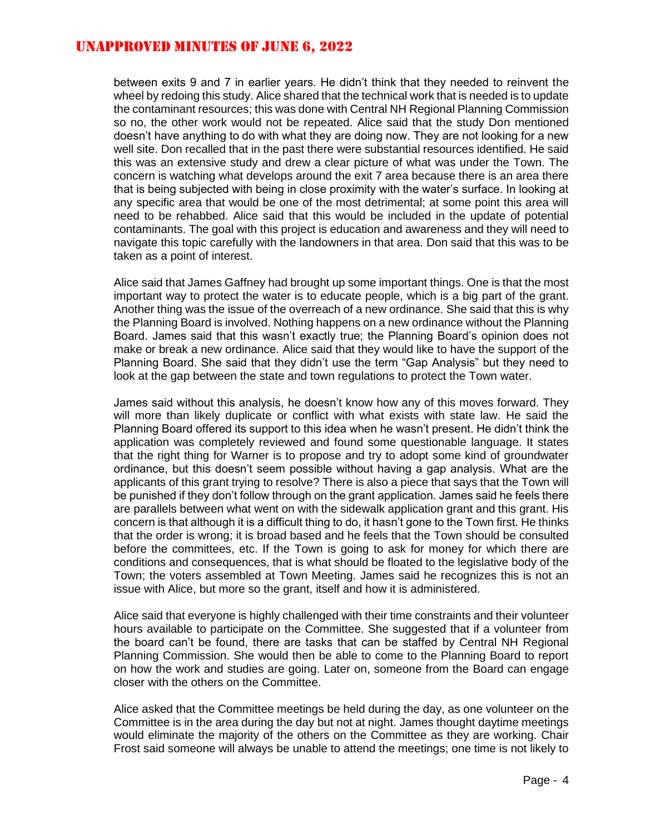between exits 9 and 7 in earlier years. He didn't think that they needed to reinvent the wheel by redoing this study. Alice shared that the technical work that is needed is to update the contaminant resources; this was done with Central NH Regional Planning Commission so no, the other work would not be repeated. Alice said that the study Don mentioned doesn't have anything to do with what they are doing now. They are not looking for a new well site. Don recalled that in the past there were substantial resources identified. He said this was an extensive study and drew a clear picture of what was under the Town. The concern is watching what develops around the exit 7 area because there is an area there that is being subjected with being in close proximity with the water's surface. In looking at any specific area that would be one of the most detrimental; at some point this area will need to be rehabbed. Alice said that this would be included in the update of potential contaminants. The goal with this project is education and awareness and they will need to navigate this topic carefully with the landowners in that area. Don said that this was to be taken as a point of interest.

Alice said that James Gaffney had brought up some important things. One is that the most important way to protect the water is to educate people, which is a big part of the grant. Another thing was the issue of the overreach of a new ordinance. She said that this is why the Planning Board is involved. Nothing happens on a new ordinance without the Planning Board. James said that this wasn't exactly true; the Planning Board's opinion does not make or break a new ordinance. Alice said that they would like to have the support of the Planning Board. She said that they didn't use the term "Gap Analysis" but they need to look at the gap between the state and town regulations to protect the Town water.

James said without this analysis, he doesn't know how any of this moves forward. They will more than likely duplicate or conflict with what exists with state law. He said the Planning Board offered its support to this idea when he wasn't present. He didn't think the application was completely reviewed and found some questionable language. It states that the right thing for Warner is to propose and try to adopt some kind of groundwater ordinance, but this doesn't seem possible without having a gap analysis. What are the applicants of this grant trying to resolve? There is also a piece that says that the Town will be punished if they don't follow through on the grant application. James said he feels there are parallels between what went on with the sidewalk application grant and this grant. His concern is that although it is a difficult thing to do, it hasn't gone to the Town first. He thinks that the order is wrong; it is broad based and he feels that the Town should be consulted before the committees, etc. If the Town is going to ask for money for which there are conditions and consequences, that is what should be floated to the legislative body of the Town; the voters assembled at Town Meeting. James said he recognizes this is not an issue with Alice, but more so the grant, itself and how it is administered.

Alice said that everyone is highly challenged with their time constraints and their volunteer hours available to participate on the Committee. She suggested that if a volunteer from the board can't be found, there are tasks that can be staffed by Central NH Regional Planning Commission. She would then be able to come to the Planning Board to report on how the work and studies are going. Later on, someone from the Board can engage closer with the others on the Committee.

Alice asked that the Committee meetings be held during the day, as one volunteer on the Committee is in the area during the day but not at night. James thought daytime meetings would eliminate the majority of the others on the Committee as they are working. Chair Frost said someone will always be unable to attend the meetings; one time is not likely to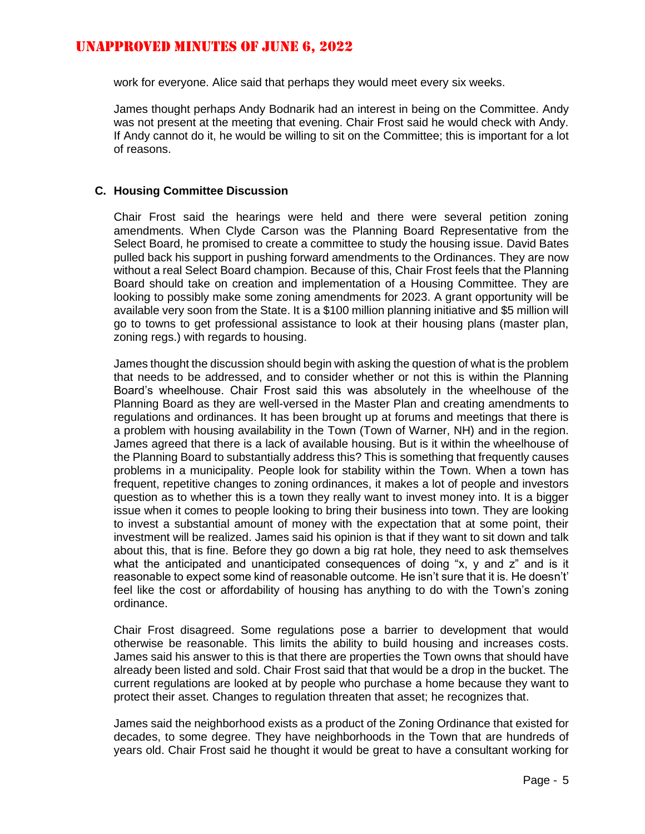work for everyone. Alice said that perhaps they would meet every six weeks.

James thought perhaps Andy Bodnarik had an interest in being on the Committee. Andy was not present at the meeting that evening. Chair Frost said he would check with Andy. If Andy cannot do it, he would be willing to sit on the Committee; this is important for a lot of reasons.

# **C. Housing Committee Discussion**

Chair Frost said the hearings were held and there were several petition zoning amendments. When Clyde Carson was the Planning Board Representative from the Select Board, he promised to create a committee to study the housing issue. David Bates pulled back his support in pushing forward amendments to the Ordinances. They are now without a real Select Board champion. Because of this, Chair Frost feels that the Planning Board should take on creation and implementation of a Housing Committee. They are looking to possibly make some zoning amendments for 2023. A grant opportunity will be available very soon from the State. It is a \$100 million planning initiative and \$5 million will go to towns to get professional assistance to look at their housing plans (master plan, zoning regs.) with regards to housing.

James thought the discussion should begin with asking the question of what is the problem that needs to be addressed, and to consider whether or not this is within the Planning Board's wheelhouse. Chair Frost said this was absolutely in the wheelhouse of the Planning Board as they are well-versed in the Master Plan and creating amendments to regulations and ordinances. It has been brought up at forums and meetings that there is a problem with housing availability in the Town (Town of Warner, NH) and in the region. James agreed that there is a lack of available housing. But is it within the wheelhouse of the Planning Board to substantially address this? This is something that frequently causes problems in a municipality. People look for stability within the Town. When a town has frequent, repetitive changes to zoning ordinances, it makes a lot of people and investors question as to whether this is a town they really want to invest money into. It is a bigger issue when it comes to people looking to bring their business into town. They are looking to invest a substantial amount of money with the expectation that at some point, their investment will be realized. James said his opinion is that if they want to sit down and talk about this, that is fine. Before they go down a big rat hole, they need to ask themselves what the anticipated and unanticipated consequences of doing "x, y and z" and is it reasonable to expect some kind of reasonable outcome. He isn't sure that it is. He doesn't' feel like the cost or affordability of housing has anything to do with the Town's zoning ordinance.

Chair Frost disagreed. Some regulations pose a barrier to development that would otherwise be reasonable. This limits the ability to build housing and increases costs. James said his answer to this is that there are properties the Town owns that should have already been listed and sold. Chair Frost said that that would be a drop in the bucket. The current regulations are looked at by people who purchase a home because they want to protect their asset. Changes to regulation threaten that asset; he recognizes that.

James said the neighborhood exists as a product of the Zoning Ordinance that existed for decades, to some degree. They have neighborhoods in the Town that are hundreds of years old. Chair Frost said he thought it would be great to have a consultant working for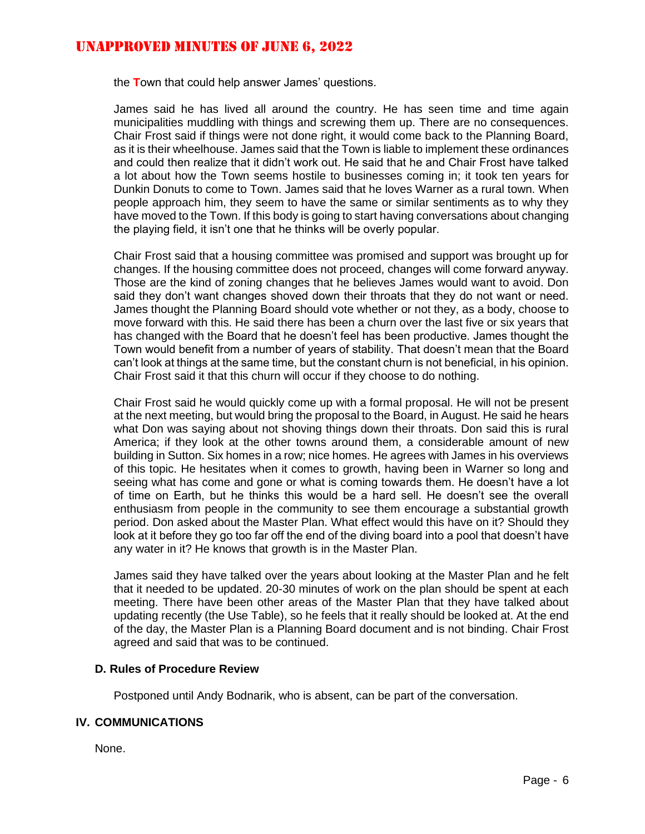the **T**own that could help answer James' questions.

James said he has lived all around the country. He has seen time and time again municipalities muddling with things and screwing them up. There are no consequences. Chair Frost said if things were not done right, it would come back to the Planning Board, as it is their wheelhouse. James said that the Town is liable to implement these ordinances and could then realize that it didn't work out. He said that he and Chair Frost have talked a lot about how the Town seems hostile to businesses coming in; it took ten years for Dunkin Donuts to come to Town. James said that he loves Warner as a rural town. When people approach him, they seem to have the same or similar sentiments as to why they have moved to the Town. If this body is going to start having conversations about changing the playing field, it isn't one that he thinks will be overly popular.

Chair Frost said that a housing committee was promised and support was brought up for changes. If the housing committee does not proceed, changes will come forward anyway. Those are the kind of zoning changes that he believes James would want to avoid. Don said they don't want changes shoved down their throats that they do not want or need. James thought the Planning Board should vote whether or not they, as a body, choose to move forward with this. He said there has been a churn over the last five or six years that has changed with the Board that he doesn't feel has been productive. James thought the Town would benefit from a number of years of stability. That doesn't mean that the Board can't look at things at the same time, but the constant churn is not beneficial, in his opinion. Chair Frost said it that this churn will occur if they choose to do nothing.

Chair Frost said he would quickly come up with a formal proposal. He will not be present at the next meeting, but would bring the proposal to the Board, in August. He said he hears what Don was saying about not shoving things down their throats. Don said this is rural America; if they look at the other towns around them, a considerable amount of new building in Sutton. Six homes in a row; nice homes. He agrees with James in his overviews of this topic. He hesitates when it comes to growth, having been in Warner so long and seeing what has come and gone or what is coming towards them. He doesn't have a lot of time on Earth, but he thinks this would be a hard sell. He doesn't see the overall enthusiasm from people in the community to see them encourage a substantial growth period. Don asked about the Master Plan. What effect would this have on it? Should they look at it before they go too far off the end of the diving board into a pool that doesn't have any water in it? He knows that growth is in the Master Plan.

James said they have talked over the years about looking at the Master Plan and he felt that it needed to be updated. 20-30 minutes of work on the plan should be spent at each meeting. There have been other areas of the Master Plan that they have talked about updating recently (the Use Table), so he feels that it really should be looked at. At the end of the day, the Master Plan is a Planning Board document and is not binding. Chair Frost agreed and said that was to be continued.

## **D. Rules of Procedure Review**

Postponed until Andy Bodnarik, who is absent, can be part of the conversation.

## **IV. COMMUNICATIONS**

None.